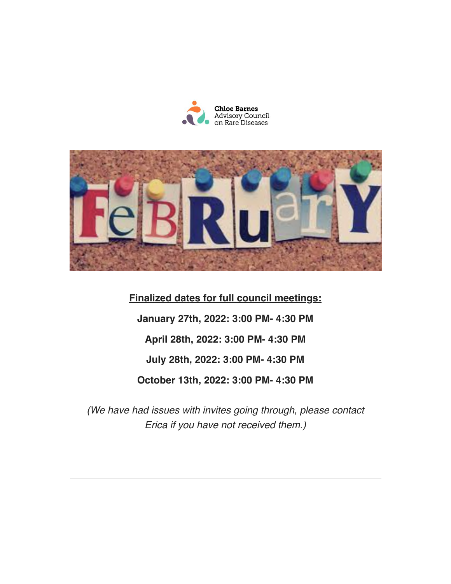



**Finalized dates for full council meetings:** January 27th, 2022: 3:00 PM- 4:30 PM April 28th, 2022: 3:00 PM- 4:30 PM July 28th, 2022: 3:00 PM- 4:30 PM October 13th, 2022: 3:00 PM- 4:30 PM

(We have had issues with invites going through, please contact Erica if you have not received them.)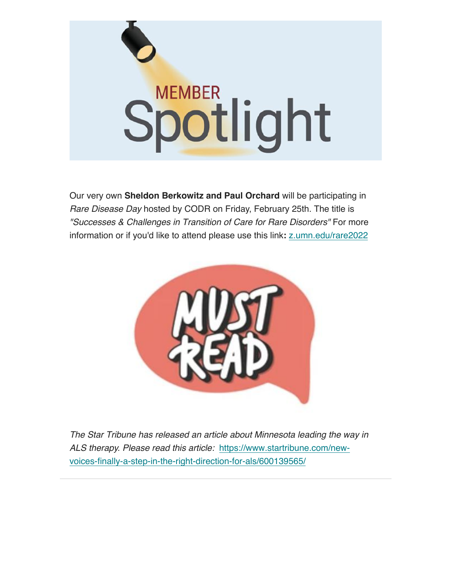

Our very own Sheldon Berkowitz and Paul Orchard will be participating in Rare Disease Day hosted by CODR on Friday, February 25th. The title is "Successes & Challenges in Transition of Care for Rare Disorders" For more information or if you'd like to attend please use this link: z.umn.edu/rare2022



The Star Tribune has released an article about Minnesota leading the way in ALS therapy. Please read this article: https://www.startribune.com/newvoices-finally-a-step-in-the-right-direction-for-als/600139565/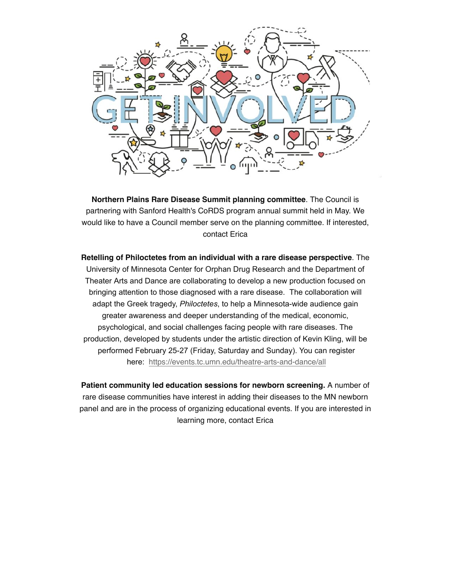

Northern Plains Rare Disease Summit planning committee. The Council is partnering with Sanford Health's CoRDS program annual summit held in May. We would like to have a Council member serve on the planning committee. If interested, contact Erica

Retelling of Philoctetes from an individual with a rare disease perspective. The University of Minnesota Center for Orphan Drug Research and the Department of Theater Arts and Dance are collaborating to develop a new production focused on bringing attention to those diagnosed with a rare disease. The collaboration will adapt the Greek tragedy, Philoctetes, to help a Minnesota-wide audience gain greater awareness and deeper understanding of the medical, economic, psychological, and social challenges facing people with rare diseases. The production, developed by students under the artistic direction of Kevin Kling, will be performed February 25-27 (Friday, Saturday and Sunday). You can register here: https://events.tc.umn.edu/theatre-arts-and-dance/all

Patient community led education sessions for newborn screening. A number of rare disease communities have interest in adding their diseases to the MN newborn panel and are in the process of organizing educational events. If you are interested in learning more, contact Erica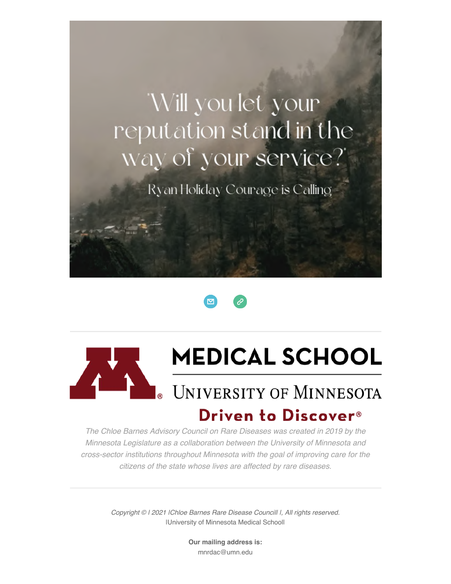## 'Will you let your reputation stand in the way of your service?

Ryan Holiday Courage is Calling





## **MEDICAL SCHOOL**

## **UNIVERSITY OF MINNESOTA** Driven to Discover<sup>®</sup>

The Chloe Barnes Advisory Council on Rare Diseases was created in 2019 by the Minnesota Legislature as a collaboration between the University of Minnesota and cross-sector institutions throughout Minnesota with the goal of improving care for the citizens of the state whose lives are affected by rare diseases.

> Copyright © I 2021 IChloe Barnes Rare Disease Councill I, All rights reserved. IUniversity of Minnesota Medical Schooll

> > Our mailing address is: mnrdac@umn.edu